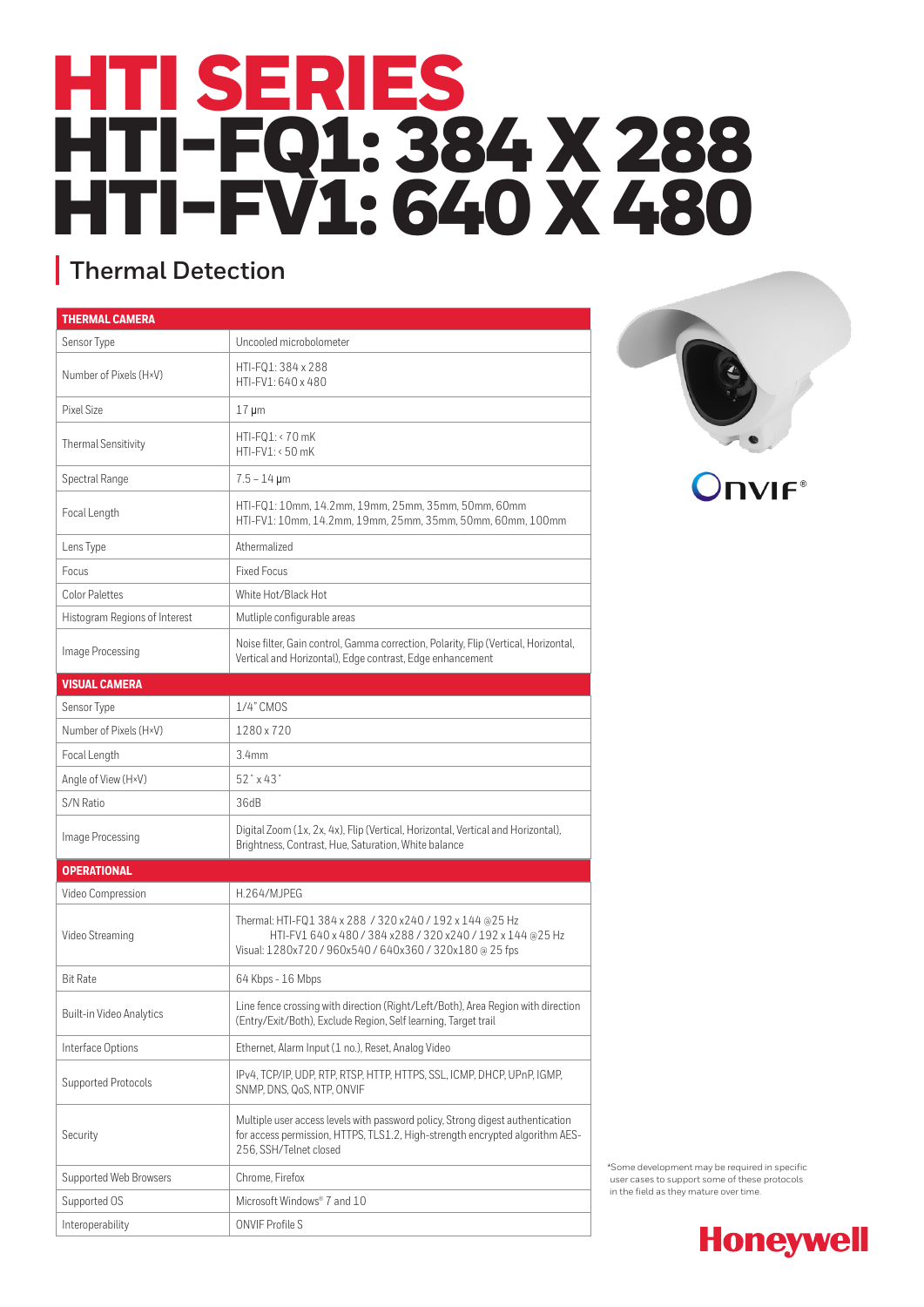# HTI SERIES HTI-FQ1: 384 X 288 HTI-FV1: 640 X 480

## **Thermal Detection**

### **THERMAL CAMERA** Sensor Type Uncooled microbolometer Number of Pixels (H×V) HTI-FQ1: 384 x 288 HTI-FV1: 640 x 480 Pixel Size 2012 17 μm Thermal Sensitivity HTI-FQ1: < 70 mK HTI-FV1: < 50 mK Spectral Range 7.5 – 14 μm Focal Length HTI-FQ1: 10mm, 14.2mm, 19mm, 25mm, 35mm, 50mm, 60mm<br>14.2mm, 19mm, 19mm, 25mm, 25mm, 50mm, 60mm HTI-FV1: 10mm, 14.2mm, 19mm, 25mm, 35mm, 50mm, 60mm, 100mm Lens Type and a set of the Athermalized Focus Focus Focus Color Palettes White Hot/Black Hot Histogram Regions of Interest Mutliple configurable areas Image Processing Noise filter, Gain control, Gamma correction, Polarity, Flip (Vertical, Horizontal, Vertical and Horizontal), Edge contrast, Edge enhancement **OPERATIONAL** Video Compression | H.264/MJPEG Video Streaming Thermal: HTI-FQ1 384 x 288 / 320 x240 / 192 x 144 @25 Hz HTI-FV1 640 x 480 / 384 x288 / 320 x240 / 192 x 144 @25 Hz Visual: 1280x720 / 960x540 / 640x360 / 320x180 @ 25 fps Bit Rate 64 Kbps - 16 Mbps Built-in Video Analytics Line fence crossing with direction (Right/Left/Both), Area Region with direction (Entry/Exit/Both), Exclude Region, Self learning, Target trail **VISUAL CAMERA** Sensor Type  $1/4$ " CMOS Number of Pixels (H×V) 1280 x 720 Focal Length **3.4mm** Angle of View (H×V) 52° x 43° S/N Ratio 36dB Image Processing Digital Zoom (1x, 2x, 4x), Flip (Vertical, Horizontal, Vertical and Horizontal), Brightness, Contrast, Hue, Saturation, White balance

Interface Options Ethernet, Alarm Input (1 no.), Reset, Analog Video

Supported Web Browsers Chrome, Firefox

Interoperability ONVIF Profile S

Supported OS Microsoft Windows® 7 and 10

Security

Supported Protocols IPv4, TCP/IP, UDP, RTP, RTSP, HTTP, HTTPS, SSL, ICMP, DHCP, UPnP, IGMP, SNMP, DNS, QoS, NTP, ONVIF

256, SSH/Telnet closed

Multiple user access levels with password policy, Strong digest authentication for access permission, HTTPS, TLS1.2, High-strength encrypted algorithm AES-



\*Some development may be required in specific user cases to support some of these protocols in the field as they mature over time.

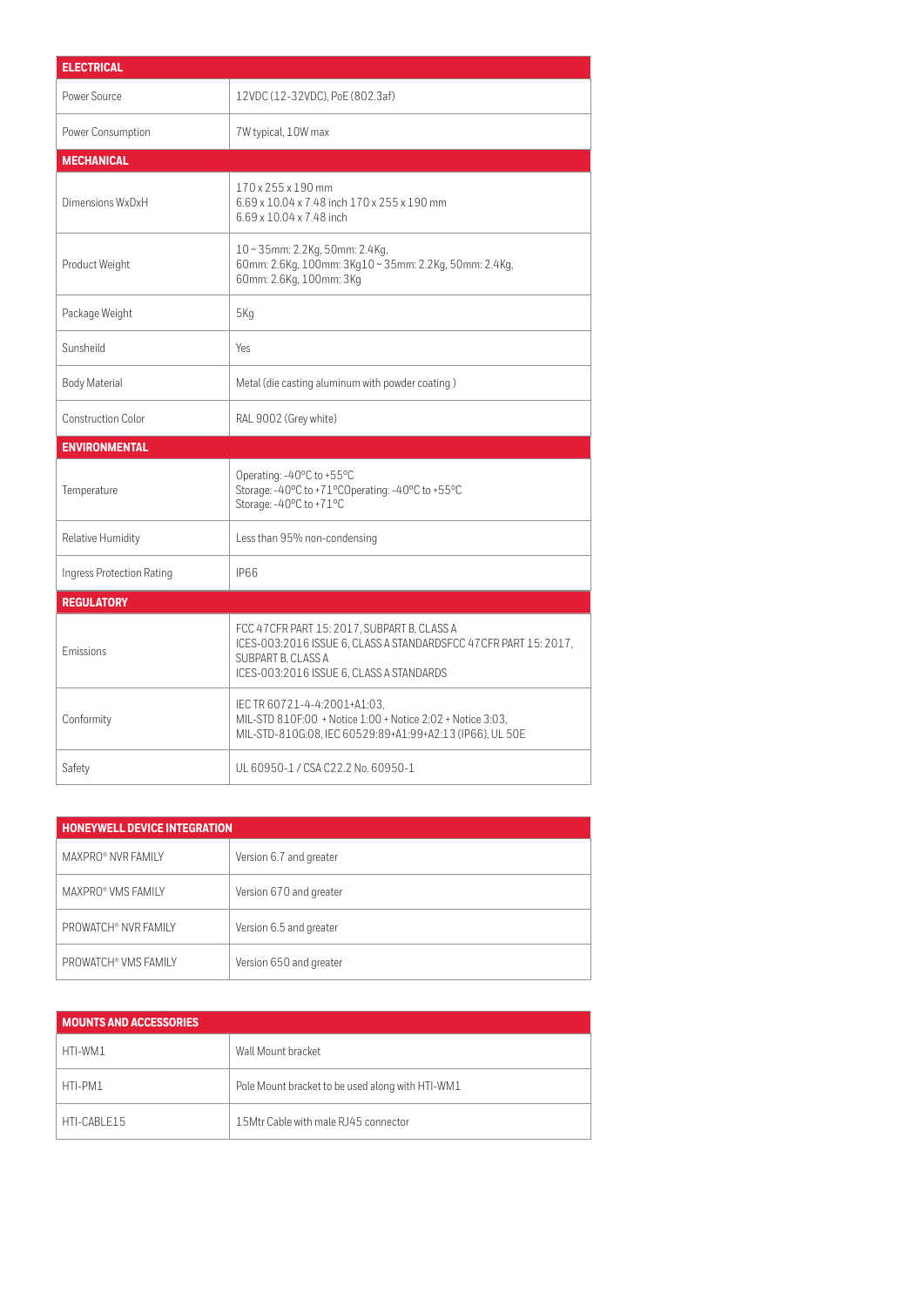| <b>ELECTRICAL</b>         |                                                                                                                                                                                    |
|---------------------------|------------------------------------------------------------------------------------------------------------------------------------------------------------------------------------|
| Power Source              | 12VDC (12-32VDC), PoE (802.3af)                                                                                                                                                    |
| Power Consumption         | 7W typical, 10W max                                                                                                                                                                |
| <b>MECHANICAL</b>         |                                                                                                                                                                                    |
| Dimensions WxDxH          | 170 x 255 x 190 mm<br>6.69 x 10.04 x 7.48 inch 170 x 255 x 190 mm<br>$6.69 \times 10.04 \times 7.48$ inch                                                                          |
| Product Weight            | 10~35mm: 2.2Kg, 50mm: 2.4Kg,<br>60mm: 2.6Kg, 100mm: 3Kg10~35mm: 2.2Kg, 50mm: 2.4Kg,<br>60mm: 2.6Kg, 100mm: 3Kg                                                                     |
| Package Weight            | 5Kg                                                                                                                                                                                |
| Sunsheild                 | Yes                                                                                                                                                                                |
| Body Material             | Metal (die casting aluminum with powder coating)                                                                                                                                   |
| <b>Construction Color</b> | RAL 9002 (Grey white)                                                                                                                                                              |
| <b>ENVIRONMENTAL</b>      |                                                                                                                                                                                    |
| Temperature               | Operating: -40°C to +55°C<br>Storage: -40°C to +71°COperating: -40°C to +55°C<br>Storage: -40°C to +71°C                                                                           |
| Relative Humidity         | Less than 95% non-condensing                                                                                                                                                       |
| Ingress Protection Rating | <b>IP66</b>                                                                                                                                                                        |
| <b>REGULATORY</b>         |                                                                                                                                                                                    |
| Emissions                 | FCC 47 CFR PART 15: 2017, SUBPART B, CLASS A<br>ICES-003:2016 ISSUE 6, CLASS A STANDARDSFCC 47CFR PART 15: 2017,<br>SUBPART B, CLASS A<br>ICES-003:2016 ISSUE 6, CLASS A STANDARDS |
| Conformity                | IEC TR 60721-4-4:2001+A1:03,<br>MIL-STD 810F:00 + Notice 1:00 + Notice 2:02 + Notice 3:03,<br>MIL-STD-810G:08, IEC 60529:89+A1:99+A2:13 (IP66), UL 50E                             |
| Safety                    | UL 60950-1 / CSA C22.2 No. 60950-1                                                                                                                                                 |

| <b>HONEYWELL DEVICE INTEGRATION</b> |                         |  |
|-------------------------------------|-------------------------|--|
| MAXPRO® NVR FAMILY                  | Version 6.7 and greater |  |
| MAXPRO® VMS FAMILY                  | Version 670 and greater |  |
| PROWATCH <sup>®</sup> NVR FAMILY    | Version 6.5 and greater |  |
| PROWATCH® VMS FAMILY                | Version 650 and greater |  |

| <b>MOUNTS AND ACCESSORIES</b> |                                                  |  |
|-------------------------------|--------------------------------------------------|--|
| HTI-WM1                       | Wall Mount bracket                               |  |
| HTI-PM1                       | Pole Mount bracket to be used along with HTI-WM1 |  |
| HTI-CABLE15                   | 15Mtr Cable with male RJ45 connector             |  |